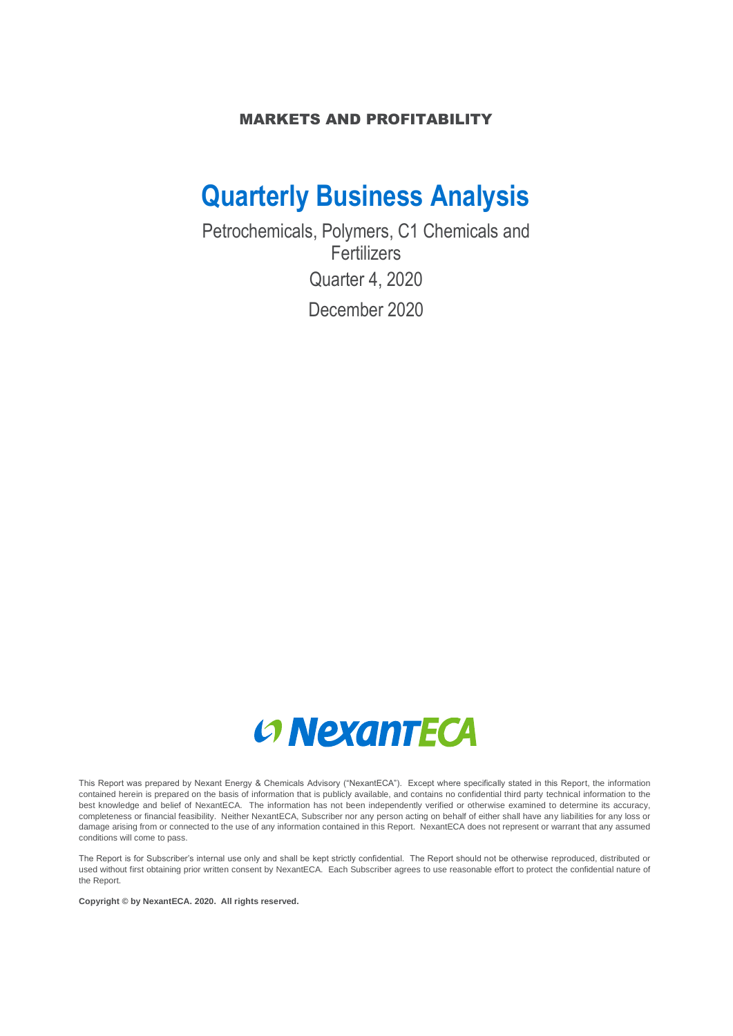## MARKETS AND PROFITABILITY

## **Quarterly Business Analysis**

Petrochemicals, Polymers, C1 Chemicals and Fertilizers Quarter 4, 2020 December 2020



This Report was prepared by Nexant Energy & Chemicals Advisory ("NexantECA"). Except where specifically stated in this Report, the information contained herein is prepared on the basis of information that is publicly available, and contains no confidential third party technical information to the best knowledge and belief of NexantECA. The information has not been independently verified or otherwise examined to determine its accuracy, completeness or financial feasibility. Neither NexantECA, Subscriber nor any person acting on behalf of either shall have any liabilities for any loss or damage arising from or connected to the use of any information contained in this Report. NexantECA does not represent or warrant that any assumed conditions will come to pass.

The Report is for Subscriber's internal use only and shall be kept strictly confidential. The Report should not be otherwise reproduced, distributed or used without first obtaining prior written consent by NexantECA. Each Subscriber agrees to use reasonable effort to protect the confidential nature of the Report.

**Copyright © by NexantECA. 2020. All rights reserved.**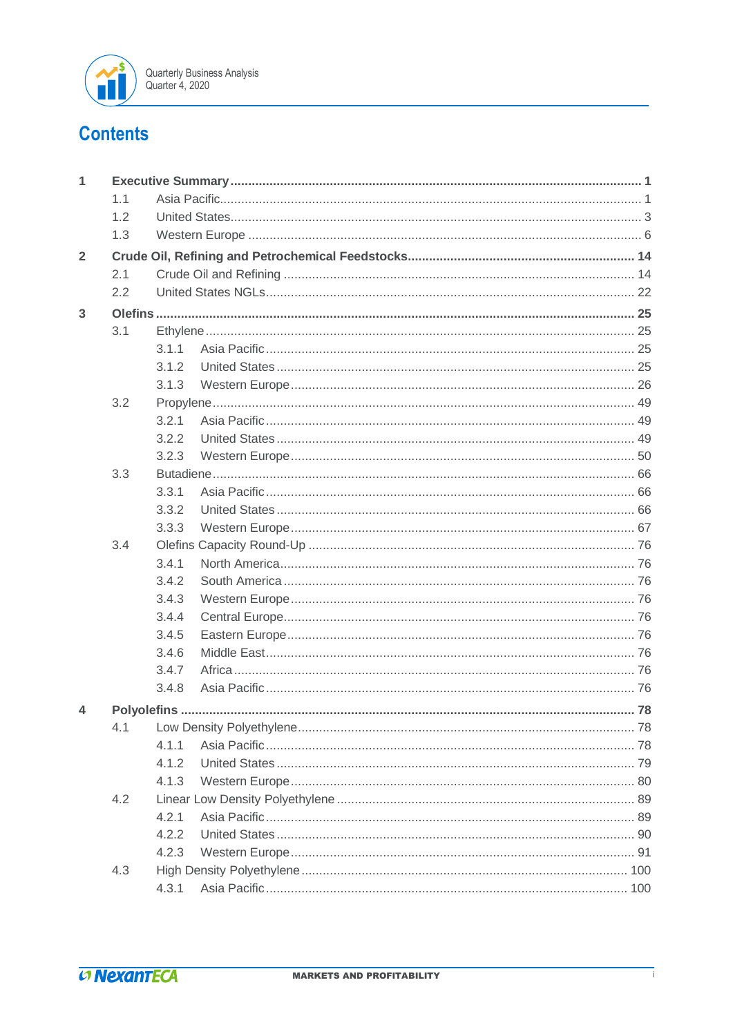

## **Contents**

| $\mathbf{1}$   |     |       |  |
|----------------|-----|-------|--|
|                | 1.1 |       |  |
|                | 1.2 |       |  |
|                | 1.3 |       |  |
| $\overline{2}$ |     |       |  |
|                | 2.1 |       |  |
|                | 2.2 |       |  |
| 3              |     |       |  |
|                | 3.1 |       |  |
|                |     | 311   |  |
|                |     | 3.1.2 |  |
|                |     | 3.1.3 |  |
|                | 3.2 |       |  |
|                |     | 3.2.1 |  |
|                |     | 3.2.2 |  |
|                |     | 3.2.3 |  |
|                | 3.3 |       |  |
|                |     | 3.3.1 |  |
|                |     | 3.3.2 |  |
|                |     | 3.3.3 |  |
|                | 3.4 |       |  |
|                |     | 3.4.1 |  |
|                |     | 3.4.2 |  |
|                |     | 3.4.3 |  |
|                |     | 3.4.4 |  |
|                |     | 3.4.5 |  |
|                |     | 3.4.6 |  |
|                |     | 3.4.7 |  |
|                |     | 3.4.8 |  |
| 4              |     |       |  |
|                | 4.1 |       |  |
|                |     | 4.1.1 |  |
|                |     | 4.1.2 |  |
|                |     | 4.1.3 |  |
|                | 4.2 |       |  |
|                |     | 4.2.1 |  |
|                |     | 4.2.2 |  |
|                |     | 4.2.3 |  |
|                | 4.3 |       |  |
|                |     | 4.3.1 |  |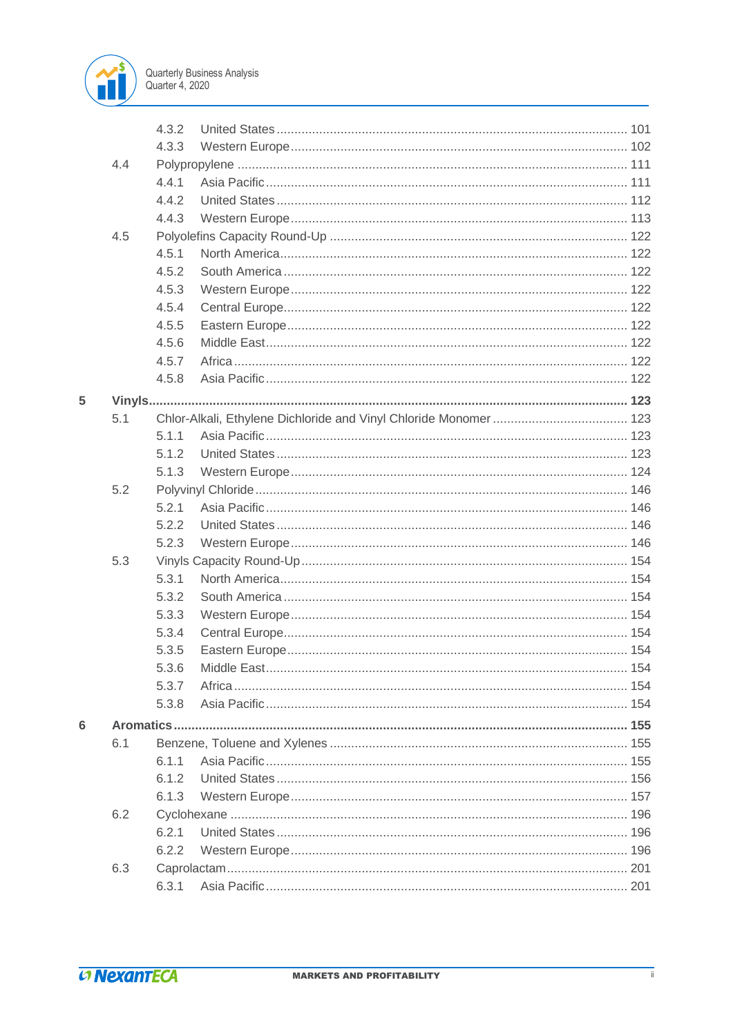

|   |     | 4.3.2 |             |     |
|---|-----|-------|-------------|-----|
|   |     | 4.3.3 |             |     |
|   | 4.4 |       |             |     |
|   |     | 4.4.1 |             |     |
|   |     | 4.4.2 |             |     |
|   |     | 4.4.3 |             |     |
|   | 4.5 |       |             |     |
|   |     | 4.5.1 |             |     |
|   |     | 4.5.2 |             |     |
|   |     | 4.5.3 |             |     |
|   |     | 4.5.4 |             |     |
|   |     | 4.5.5 |             |     |
|   |     | 4.5.6 |             |     |
|   |     | 4.5.7 |             |     |
|   |     | 4.5.8 |             |     |
| 5 |     |       |             |     |
|   | 5.1 |       |             |     |
|   |     | 5.1.1 |             |     |
|   |     | 5.1.2 |             |     |
|   |     | 5.1.3 |             |     |
|   | 5.2 |       |             |     |
|   |     | 5.2.1 |             |     |
|   |     | 5.2.2 |             |     |
|   |     | 5.2.3 |             |     |
|   | 5.3 |       |             |     |
|   |     | 5.3.1 |             |     |
|   |     | 5.3.2 |             |     |
|   |     | 5.3.3 |             |     |
|   |     | 5.3.4 |             |     |
|   |     | 5.3.5 |             |     |
|   |     | 5.3.6 | Middle East | 154 |
|   |     | 5.3.7 |             |     |
|   |     | 5.3.8 |             |     |
| 6 |     |       |             |     |
|   | 6.1 |       |             |     |
|   |     | 6.1.1 |             |     |
|   |     | 6.1.2 |             |     |
|   |     | 6.1.3 |             |     |
|   | 6.2 |       |             |     |
|   |     | 6.2.1 |             |     |
|   |     | 6.2.2 |             |     |
|   | 6.3 |       |             |     |
|   |     | 6.3.1 |             |     |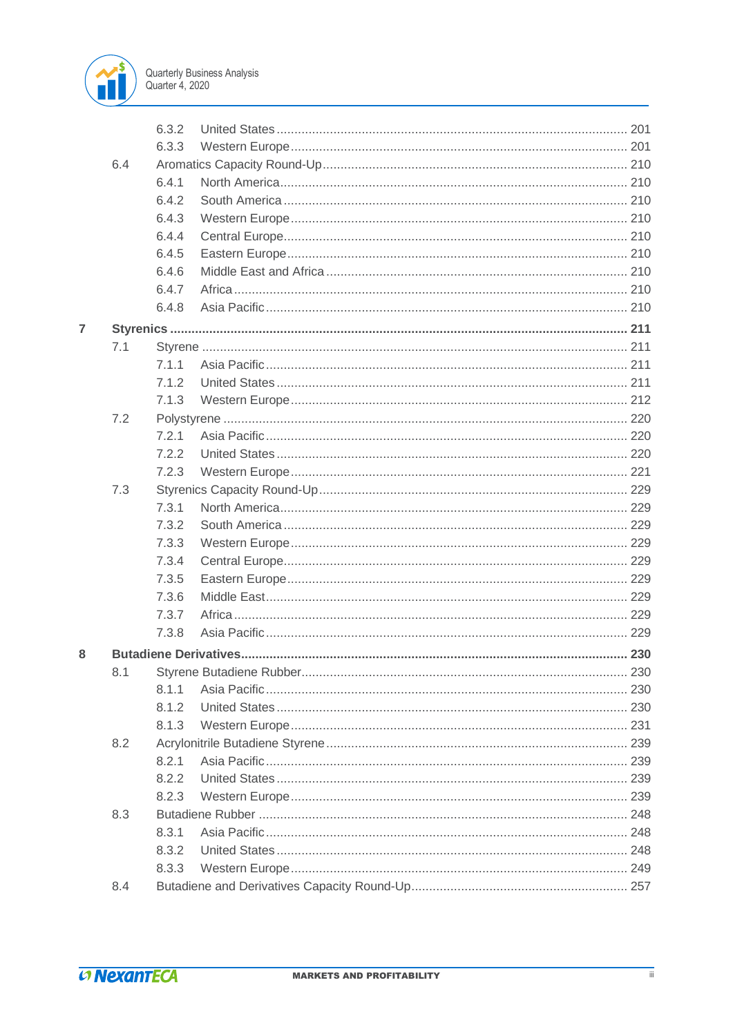

|   |     | 6.3.2 |  |
|---|-----|-------|--|
|   |     | 6.3.3 |  |
|   | 6.4 |       |  |
|   |     | 6.4.1 |  |
|   |     | 6.4.2 |  |
|   |     | 6.4.3 |  |
|   |     | 6.4.4 |  |
|   |     | 6.4.5 |  |
|   |     | 6.4.6 |  |
|   |     | 6.4.7 |  |
|   |     | 6.4.8 |  |
| 7 |     |       |  |
|   | 7.1 |       |  |
|   |     | 7.1.1 |  |
|   |     | 7.1.2 |  |
|   |     | 7.1.3 |  |
|   | 7.2 |       |  |
|   |     | 7.2.1 |  |
|   |     | 7.2.2 |  |
|   |     | 7.2.3 |  |
|   | 7.3 |       |  |
|   |     | 7.3.1 |  |
|   |     | 7.3.2 |  |
|   |     | 7.3.3 |  |
|   |     | 7.3.4 |  |
|   |     | 7.3.5 |  |
|   |     | 7.3.6 |  |
|   |     | 7.3.7 |  |
|   |     | 7.3.8 |  |
| 8 |     |       |  |
|   | 8.1 |       |  |
|   |     | 8.1.1 |  |
|   |     | 8.1.2 |  |
|   |     | 8.1.3 |  |
|   | 8.2 |       |  |
|   |     | 8.2.1 |  |
|   |     | 8.2.2 |  |
|   |     | 8.2.3 |  |
|   | 8.3 |       |  |
|   |     | 8.3.1 |  |
|   |     | 8.3.2 |  |
|   |     | 8.3.3 |  |
|   | 8.4 |       |  |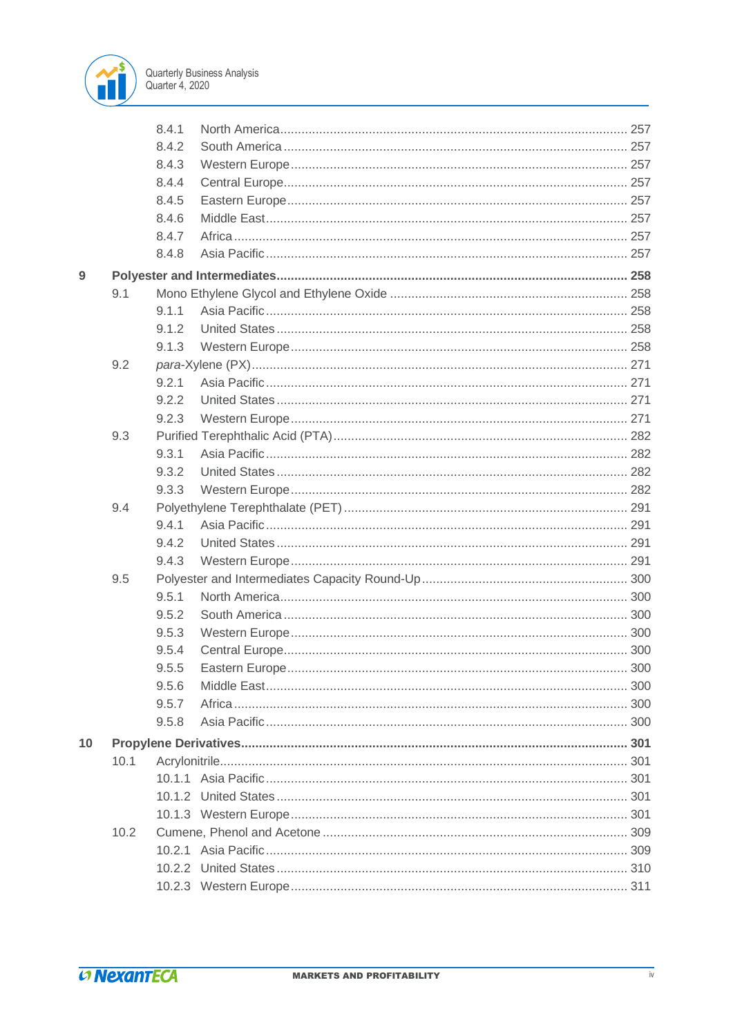

|    |      | 8.4.1 |  |
|----|------|-------|--|
|    |      | 8.4.2 |  |
|    |      | 8.4.3 |  |
|    |      | 8.4.4 |  |
|    |      | 8.4.5 |  |
|    |      | 8.4.6 |  |
|    |      | 8.4.7 |  |
|    |      | 8.4.8 |  |
| 9  |      |       |  |
|    | 9.1  |       |  |
|    |      | 9.1.1 |  |
|    |      | 9.1.2 |  |
|    |      | 9.1.3 |  |
|    | 9.2  |       |  |
|    |      | 9.2.1 |  |
|    |      | 9.2.2 |  |
|    |      | 9.2.3 |  |
|    | 9.3  |       |  |
|    |      | 9.3.1 |  |
|    |      | 9.3.2 |  |
|    |      | 9.3.3 |  |
|    | 9.4  |       |  |
|    |      | 9.4.1 |  |
|    |      | 9.4.2 |  |
|    |      | 9.4.3 |  |
|    | 9.5  |       |  |
|    |      | 9.5.1 |  |
|    |      | 9.5.2 |  |
|    |      | 9.5.3 |  |
|    |      | 9.5.4 |  |
|    |      | 9.5.5 |  |
|    |      | 9.5.6 |  |
|    |      | 9.5.7 |  |
|    |      | 9.5.8 |  |
| 10 |      |       |  |
|    | 10.1 |       |  |
|    |      |       |  |
|    |      |       |  |
|    |      |       |  |
|    | 10.2 |       |  |
|    |      |       |  |
|    |      |       |  |
|    |      |       |  |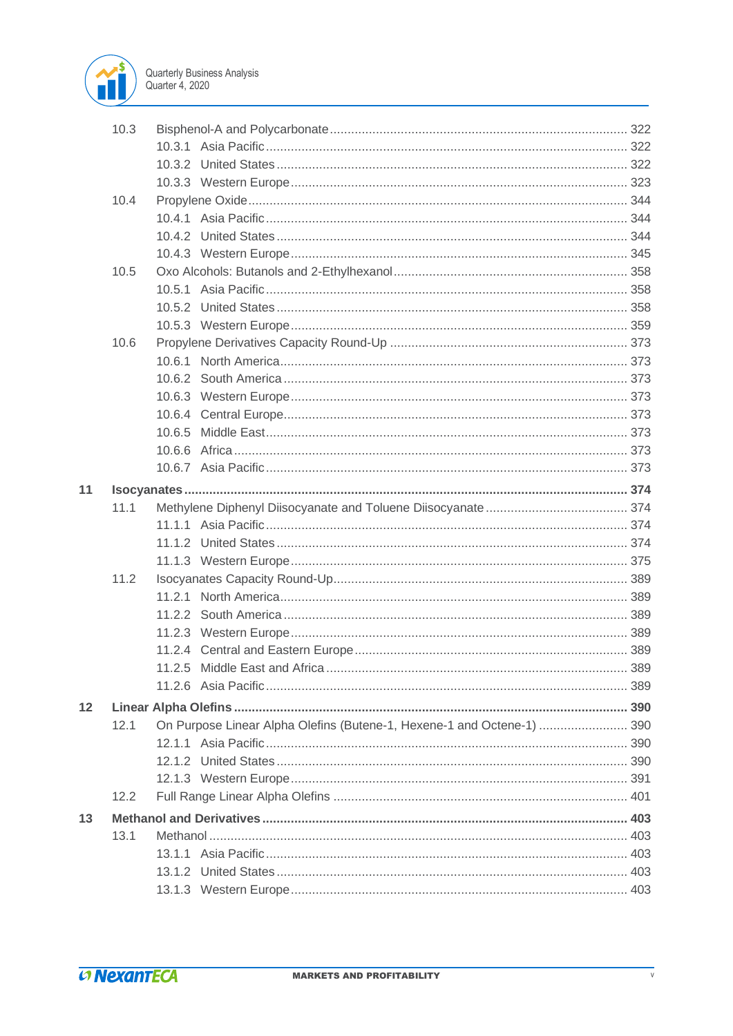

|    | 10.3 |                                                                        |  |
|----|------|------------------------------------------------------------------------|--|
|    |      |                                                                        |  |
|    |      |                                                                        |  |
|    |      |                                                                        |  |
|    | 10.4 |                                                                        |  |
|    |      |                                                                        |  |
|    |      |                                                                        |  |
|    |      |                                                                        |  |
|    | 10.5 |                                                                        |  |
|    |      |                                                                        |  |
|    |      |                                                                        |  |
|    |      |                                                                        |  |
|    | 10.6 |                                                                        |  |
|    |      |                                                                        |  |
|    |      |                                                                        |  |
|    |      |                                                                        |  |
|    |      |                                                                        |  |
|    |      |                                                                        |  |
|    |      |                                                                        |  |
|    |      |                                                                        |  |
| 11 |      |                                                                        |  |
|    | 11.1 |                                                                        |  |
|    |      |                                                                        |  |
|    |      |                                                                        |  |
|    |      |                                                                        |  |
|    | 11.2 |                                                                        |  |
|    |      |                                                                        |  |
|    |      |                                                                        |  |
|    |      |                                                                        |  |
|    |      |                                                                        |  |
|    |      |                                                                        |  |
|    |      |                                                                        |  |
| 12 |      |                                                                        |  |
|    | 12.1 | On Purpose Linear Alpha Olefins (Butene-1, Hexene-1 and Octene-1)  390 |  |
|    |      |                                                                        |  |
|    |      |                                                                        |  |
|    |      |                                                                        |  |
|    | 12.2 |                                                                        |  |
|    |      |                                                                        |  |
| 13 | 13.1 |                                                                        |  |
|    |      |                                                                        |  |
|    |      |                                                                        |  |
|    |      |                                                                        |  |
|    |      |                                                                        |  |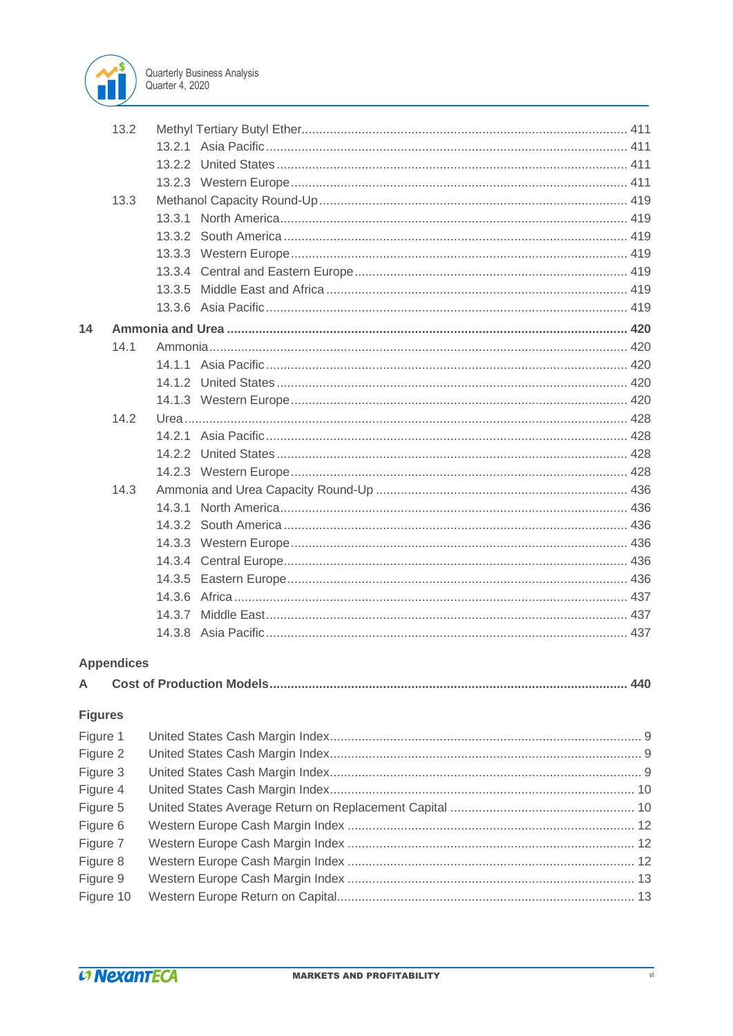

|                | 13.2              |  |
|----------------|-------------------|--|
|                |                   |  |
|                |                   |  |
|                |                   |  |
|                | 13.3              |  |
|                |                   |  |
|                |                   |  |
|                |                   |  |
|                |                   |  |
|                |                   |  |
|                |                   |  |
| 14             |                   |  |
|                | 14.1              |  |
|                |                   |  |
|                |                   |  |
|                |                   |  |
|                | 14.2              |  |
|                |                   |  |
|                |                   |  |
|                |                   |  |
|                | 14.3              |  |
|                |                   |  |
|                |                   |  |
|                |                   |  |
|                |                   |  |
|                |                   |  |
|                |                   |  |
|                |                   |  |
|                |                   |  |
|                |                   |  |
|                | <b>Appendices</b> |  |
| A              |                   |  |
| <b>Figures</b> |                   |  |
| Figure 1       |                   |  |
| Figure 2       |                   |  |
| Figure 3       |                   |  |
| Figure 4       |                   |  |
| Figure 5       |                   |  |
| Figure 6       |                   |  |
| Figure 7       |                   |  |
| Figure 8       |                   |  |
| Figure 9       |                   |  |
| Figure 10      |                   |  |
|                |                   |  |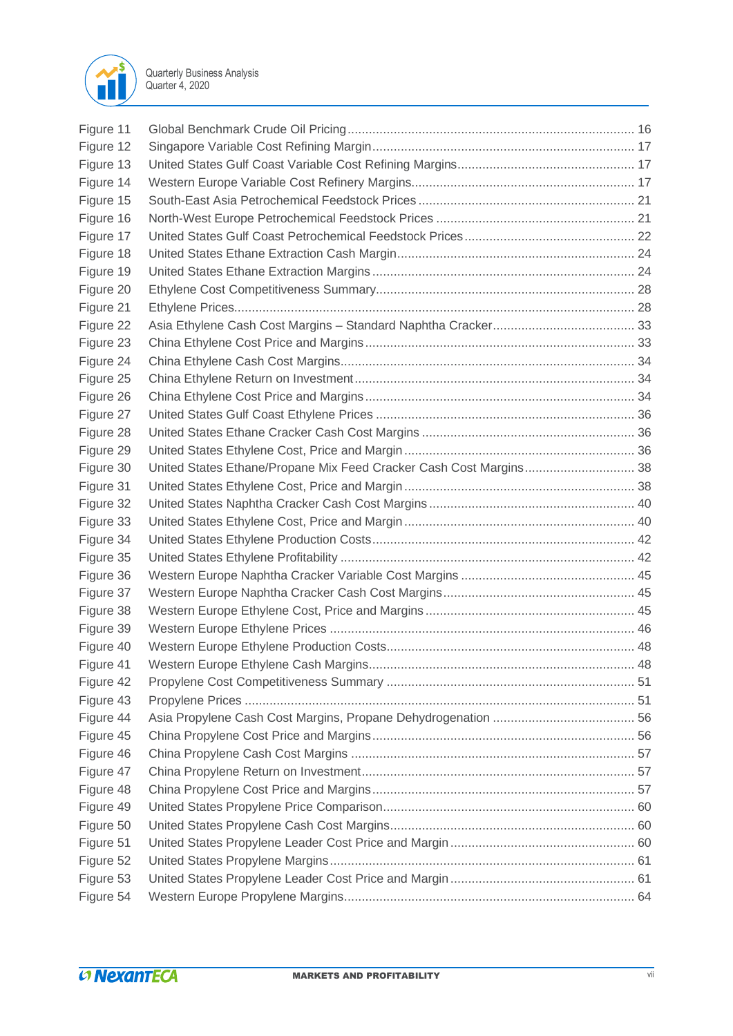

| Figure 11 |                                                                    |  |
|-----------|--------------------------------------------------------------------|--|
| Figure 12 |                                                                    |  |
| Figure 13 |                                                                    |  |
| Figure 14 |                                                                    |  |
| Figure 15 |                                                                    |  |
|           |                                                                    |  |
| Figure 16 |                                                                    |  |
| Figure 17 |                                                                    |  |
| Figure 18 |                                                                    |  |
| Figure 19 |                                                                    |  |
| Figure 20 |                                                                    |  |
| Figure 21 |                                                                    |  |
| Figure 22 |                                                                    |  |
| Figure 23 |                                                                    |  |
| Figure 24 |                                                                    |  |
| Figure 25 |                                                                    |  |
| Figure 26 |                                                                    |  |
| Figure 27 |                                                                    |  |
| Figure 28 |                                                                    |  |
| Figure 29 |                                                                    |  |
| Figure 30 | United States Ethane/Propane Mix Feed Cracker Cash Cost Margins 38 |  |
| Figure 31 |                                                                    |  |
| Figure 32 |                                                                    |  |
| Figure 33 |                                                                    |  |
| Figure 34 |                                                                    |  |
| Figure 35 |                                                                    |  |
| Figure 36 |                                                                    |  |
| Figure 37 |                                                                    |  |
| Figure 38 |                                                                    |  |
| Figure 39 |                                                                    |  |
| Figure 40 |                                                                    |  |
| Figure 41 |                                                                    |  |
| Figure 42 |                                                                    |  |
| Figure 43 |                                                                    |  |
| Figure 44 |                                                                    |  |
| Figure 45 |                                                                    |  |
| Figure 46 |                                                                    |  |
| Figure 47 |                                                                    |  |
| Figure 48 |                                                                    |  |
| Figure 49 |                                                                    |  |
| Figure 50 |                                                                    |  |
| Figure 51 |                                                                    |  |
| Figure 52 |                                                                    |  |
| Figure 53 |                                                                    |  |
|           |                                                                    |  |
| Figure 54 |                                                                    |  |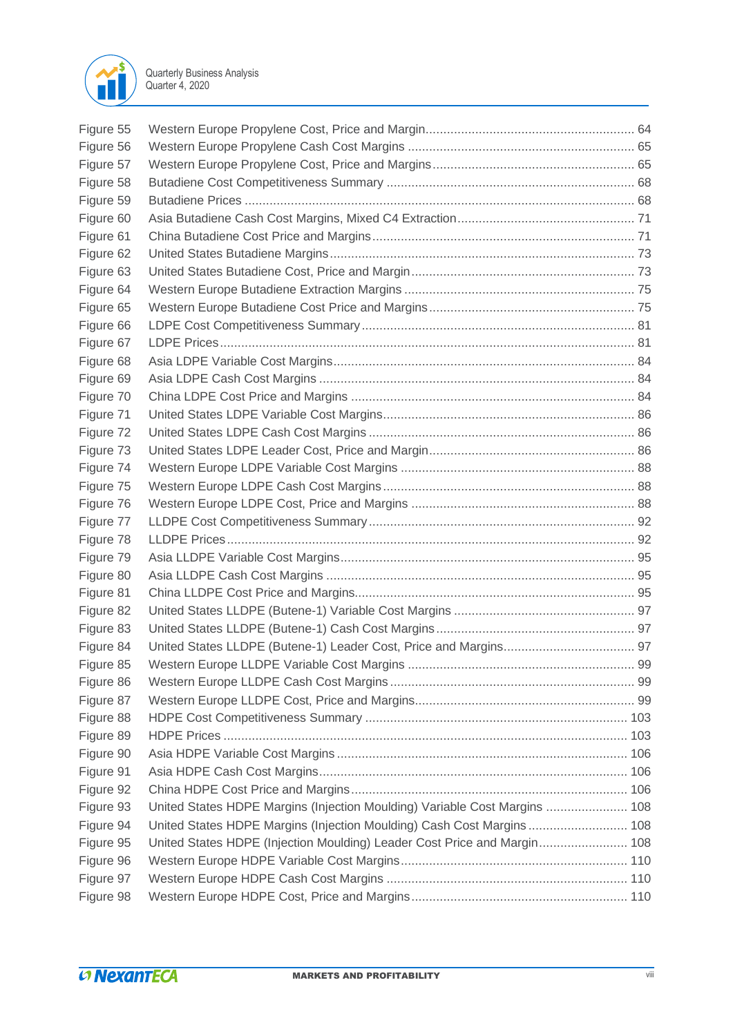

| Figure 55 |                                                                            |  |
|-----------|----------------------------------------------------------------------------|--|
| Figure 56 |                                                                            |  |
| Figure 57 |                                                                            |  |
| Figure 58 |                                                                            |  |
| Figure 59 |                                                                            |  |
| Figure 60 |                                                                            |  |
| Figure 61 |                                                                            |  |
| Figure 62 |                                                                            |  |
| Figure 63 |                                                                            |  |
| Figure 64 |                                                                            |  |
| Figure 65 |                                                                            |  |
| Figure 66 |                                                                            |  |
| Figure 67 |                                                                            |  |
| Figure 68 |                                                                            |  |
| Figure 69 |                                                                            |  |
| Figure 70 |                                                                            |  |
| Figure 71 |                                                                            |  |
| Figure 72 |                                                                            |  |
| Figure 73 |                                                                            |  |
| Figure 74 |                                                                            |  |
| Figure 75 |                                                                            |  |
| Figure 76 |                                                                            |  |
| Figure 77 |                                                                            |  |
| Figure 78 |                                                                            |  |
| Figure 79 |                                                                            |  |
| Figure 80 |                                                                            |  |
| Figure 81 |                                                                            |  |
| Figure 82 |                                                                            |  |
| Figure 83 |                                                                            |  |
| Figure 84 |                                                                            |  |
| Figure 85 |                                                                            |  |
| Figure 86 |                                                                            |  |
| Figure 87 |                                                                            |  |
| Figure 88 |                                                                            |  |
| Figure 89 |                                                                            |  |
| Figure 90 |                                                                            |  |
| Figure 91 |                                                                            |  |
| Figure 92 |                                                                            |  |
| Figure 93 | United States HDPE Margins (Injection Moulding) Variable Cost Margins  108 |  |
| Figure 94 | United States HDPE Margins (Injection Moulding) Cash Cost Margins  108     |  |
| Figure 95 | United States HDPE (Injection Moulding) Leader Cost Price and Margin 108   |  |
| Figure 96 |                                                                            |  |
| Figure 97 |                                                                            |  |
| Figure 98 |                                                                            |  |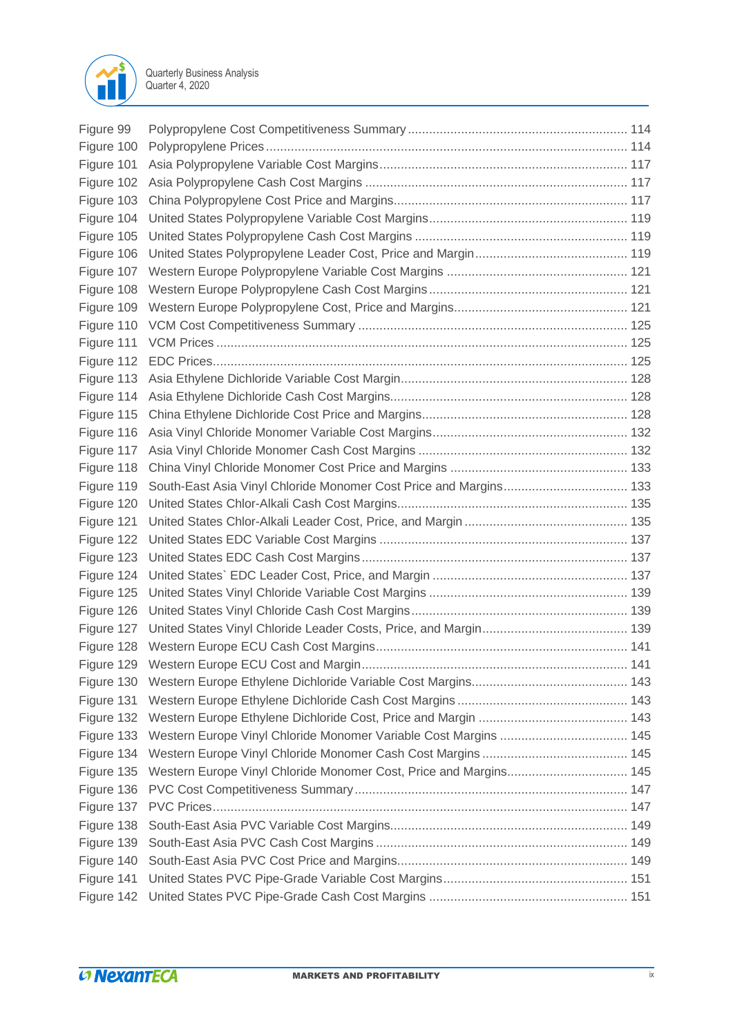

| Figure 99  |                                                                   |  |
|------------|-------------------------------------------------------------------|--|
| Figure 100 |                                                                   |  |
| Figure 101 |                                                                   |  |
| Figure 102 |                                                                   |  |
| Figure 103 |                                                                   |  |
| Figure 104 |                                                                   |  |
| Figure 105 |                                                                   |  |
| Figure 106 |                                                                   |  |
|            |                                                                   |  |
| Figure 108 |                                                                   |  |
|            |                                                                   |  |
| Figure 110 |                                                                   |  |
| Figure 111 |                                                                   |  |
|            |                                                                   |  |
| Figure 113 |                                                                   |  |
| Figure 114 |                                                                   |  |
| Figure 115 |                                                                   |  |
| Figure 116 |                                                                   |  |
| Figure 117 |                                                                   |  |
| Figure 118 |                                                                   |  |
| Figure 119 | South-East Asia Vinyl Chloride Monomer Cost Price and Margins 133 |  |
| Figure 120 |                                                                   |  |
| Figure 121 |                                                                   |  |
| Figure 122 |                                                                   |  |
| Figure 123 |                                                                   |  |
| Figure 124 |                                                                   |  |
| Figure 125 |                                                                   |  |
| Figure 126 |                                                                   |  |
| Figure 127 |                                                                   |  |
|            |                                                                   |  |
|            |                                                                   |  |
| Figure 130 |                                                                   |  |
| Figure 131 |                                                                   |  |
| Figure 132 |                                                                   |  |
| Figure 133 |                                                                   |  |
| Figure 134 |                                                                   |  |
| Figure 135 | Western Europe Vinyl Chloride Monomer Cost, Price and Margins 145 |  |
| Figure 136 |                                                                   |  |
| Figure 137 |                                                                   |  |
| Figure 138 |                                                                   |  |
| Figure 139 |                                                                   |  |
| Figure 140 |                                                                   |  |
| Figure 141 |                                                                   |  |
| Figure 142 |                                                                   |  |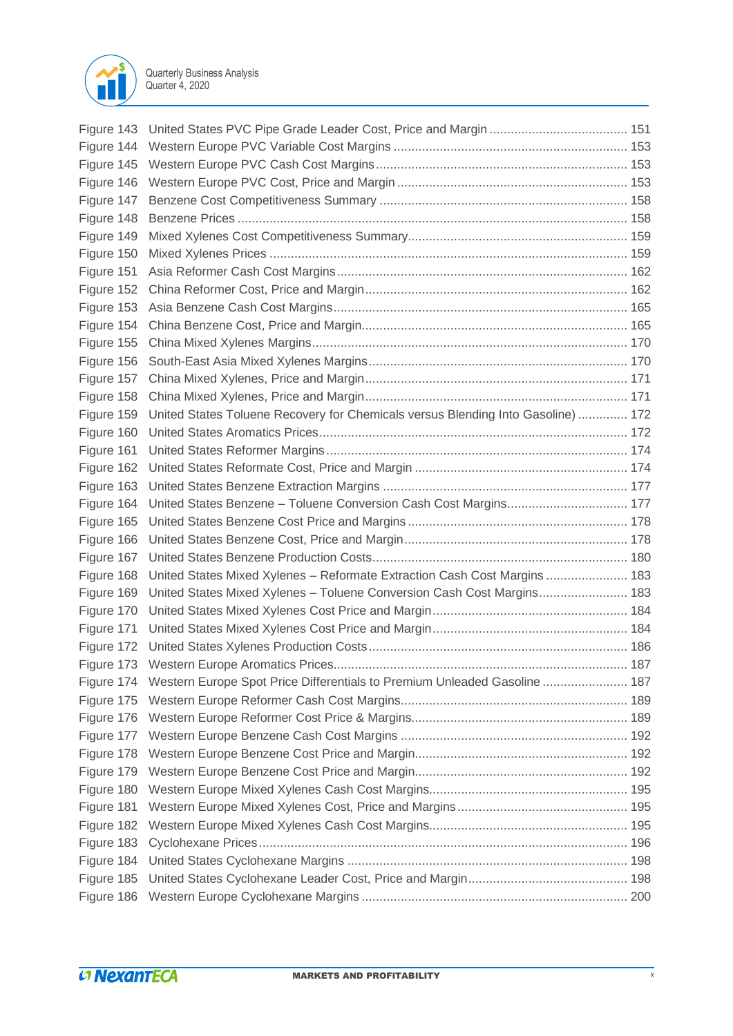

| Figure 143 |                                                                                      |  |
|------------|--------------------------------------------------------------------------------------|--|
| Figure 144 |                                                                                      |  |
| Figure 145 |                                                                                      |  |
| Figure 146 |                                                                                      |  |
| Figure 147 |                                                                                      |  |
| Figure 148 |                                                                                      |  |
| Figure 149 |                                                                                      |  |
| Figure 150 |                                                                                      |  |
| Figure 151 |                                                                                      |  |
| Figure 152 |                                                                                      |  |
| Figure 153 |                                                                                      |  |
| Figure 154 |                                                                                      |  |
| Figure 155 |                                                                                      |  |
| Figure 156 |                                                                                      |  |
| Figure 157 |                                                                                      |  |
| Figure 158 |                                                                                      |  |
| Figure 159 | United States Toluene Recovery for Chemicals versus Blending Into Gasoline)  172     |  |
| Figure 160 |                                                                                      |  |
| Figure 161 |                                                                                      |  |
| Figure 162 |                                                                                      |  |
| Figure 163 |                                                                                      |  |
| Figure 164 | United States Benzene - Toluene Conversion Cash Cost Margins 177                     |  |
| Figure 165 |                                                                                      |  |
| Figure 166 |                                                                                      |  |
| Figure 167 |                                                                                      |  |
| Figure 168 | United States Mixed Xylenes - Reformate Extraction Cash Cost Margins  183            |  |
| Figure 169 | United States Mixed Xylenes - Toluene Conversion Cash Cost Margins 183               |  |
| Figure 170 |                                                                                      |  |
| Figure 171 |                                                                                      |  |
| Figure 172 |                                                                                      |  |
|            |                                                                                      |  |
|            | Figure 174 Western Europe Spot Price Differentials to Premium Unleaded Gasoline  187 |  |
| Figure 175 |                                                                                      |  |
| Figure 176 |                                                                                      |  |
| Figure 177 |                                                                                      |  |
| Figure 178 |                                                                                      |  |
| Figure 179 |                                                                                      |  |
| Figure 180 |                                                                                      |  |
| Figure 181 |                                                                                      |  |
| Figure 182 |                                                                                      |  |
| Figure 183 |                                                                                      |  |
| Figure 184 |                                                                                      |  |
| Figure 185 |                                                                                      |  |
| Figure 186 |                                                                                      |  |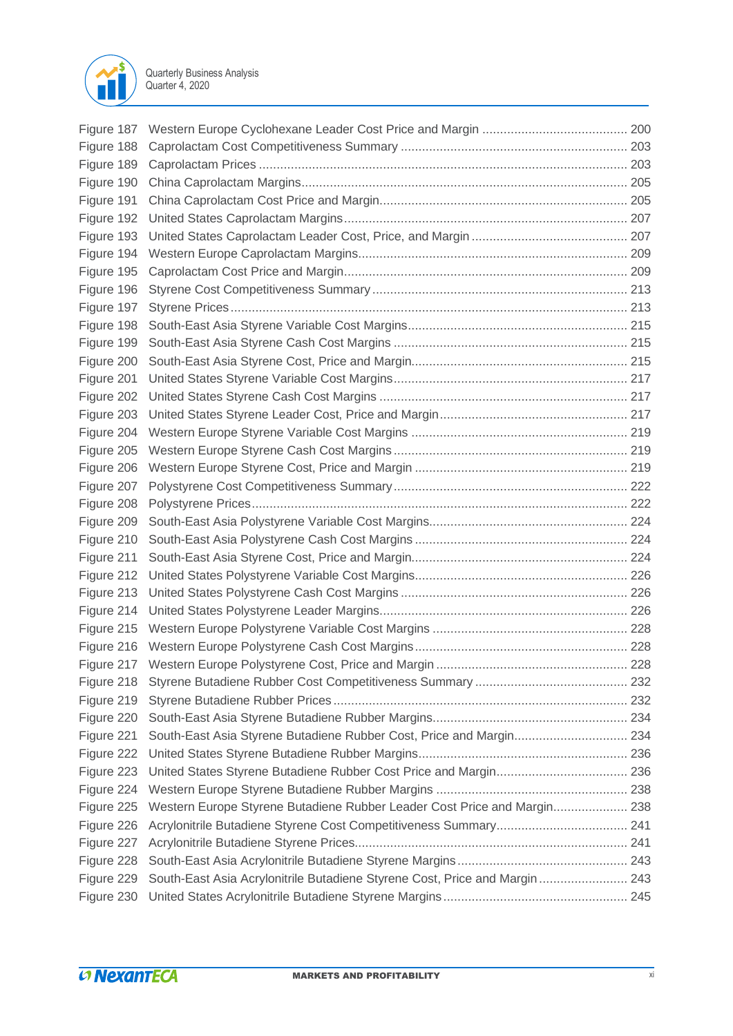

| Figure 188 |                                                                             |  |
|------------|-----------------------------------------------------------------------------|--|
| Figure 189 |                                                                             |  |
| Figure 190 |                                                                             |  |
| Figure 191 |                                                                             |  |
| Figure 192 |                                                                             |  |
| Figure 193 |                                                                             |  |
| Figure 194 |                                                                             |  |
| Figure 195 |                                                                             |  |
| Figure 196 |                                                                             |  |
| Figure 197 |                                                                             |  |
| Figure 198 |                                                                             |  |
| Figure 199 |                                                                             |  |
| Figure 200 |                                                                             |  |
| Figure 201 |                                                                             |  |
| Figure 202 |                                                                             |  |
| Figure 203 |                                                                             |  |
| Figure 204 |                                                                             |  |
| Figure 205 |                                                                             |  |
| Figure 206 |                                                                             |  |
| Figure 207 |                                                                             |  |
| Figure 208 |                                                                             |  |
| Figure 209 |                                                                             |  |
| Figure 210 |                                                                             |  |
| Figure 211 |                                                                             |  |
| Figure 212 |                                                                             |  |
| Figure 213 |                                                                             |  |
| Figure 214 |                                                                             |  |
|            |                                                                             |  |
|            |                                                                             |  |
|            |                                                                             |  |
|            |                                                                             |  |
| Figure 219 |                                                                             |  |
|            |                                                                             |  |
| Figure 220 |                                                                             |  |
| Figure 221 | South-East Asia Styrene Butadiene Rubber Cost, Price and Margin 234         |  |
| Figure 222 |                                                                             |  |
| Figure 223 |                                                                             |  |
| Figure 224 |                                                                             |  |
| Figure 225 | Western Europe Styrene Butadiene Rubber Leader Cost Price and Margin 238    |  |
| Figure 226 |                                                                             |  |
| Figure 227 |                                                                             |  |
| Figure 228 |                                                                             |  |
| Figure 229 | South-East Asia Acrylonitrile Butadiene Styrene Cost, Price and Margin  243 |  |
| Figure 230 |                                                                             |  |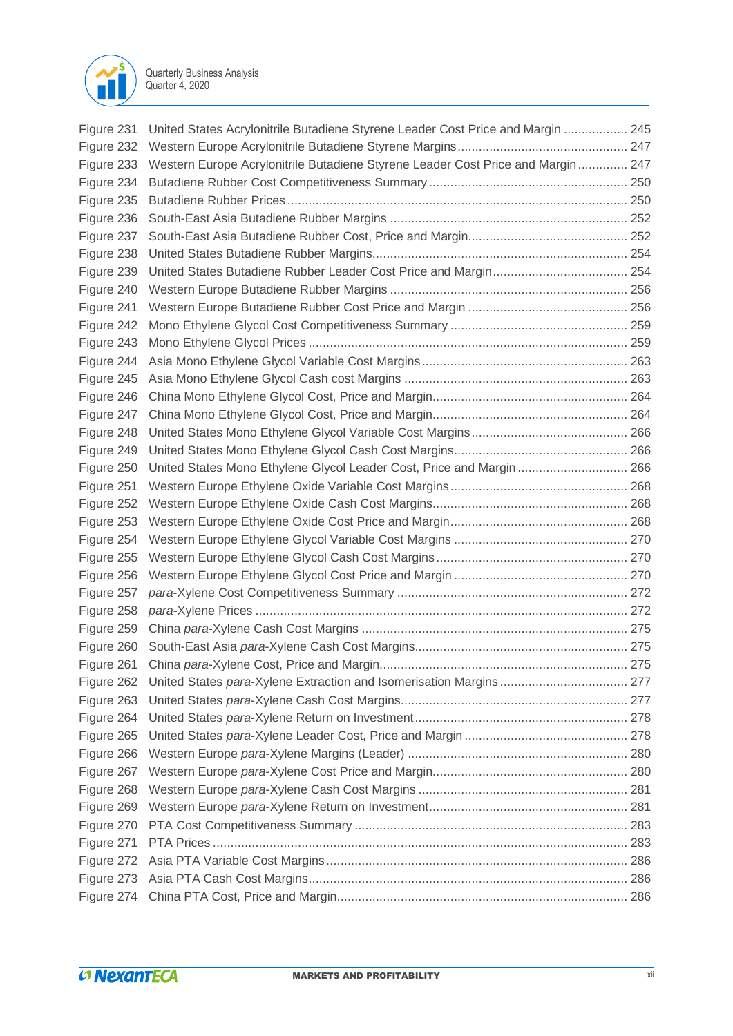

| Figure 231 | United States Acrylonitrile Butadiene Styrene Leader Cost Price and Margin  245 |  |
|------------|---------------------------------------------------------------------------------|--|
| Figure 232 |                                                                                 |  |
| Figure 233 | Western Europe Acrylonitrile Butadiene Styrene Leader Cost Price and Margin 247 |  |
| Figure 234 |                                                                                 |  |
| Figure 235 |                                                                                 |  |
| Figure 236 |                                                                                 |  |
| Figure 237 |                                                                                 |  |
| Figure 238 |                                                                                 |  |
| Figure 239 |                                                                                 |  |
| Figure 240 |                                                                                 |  |
| Figure 241 |                                                                                 |  |
| Figure 242 |                                                                                 |  |
| Figure 243 |                                                                                 |  |
| Figure 244 |                                                                                 |  |
| Figure 245 |                                                                                 |  |
| Figure 246 |                                                                                 |  |
| Figure 247 |                                                                                 |  |
| Figure 248 |                                                                                 |  |
| Figure 249 |                                                                                 |  |
| Figure 250 | United States Mono Ethylene Glycol Leader Cost, Price and Margin  266           |  |
| Figure 251 |                                                                                 |  |
| Figure 252 |                                                                                 |  |
| Figure 253 |                                                                                 |  |
| Figure 254 |                                                                                 |  |
| Figure 255 |                                                                                 |  |
| Figure 256 |                                                                                 |  |
| Figure 257 |                                                                                 |  |
| Figure 258 |                                                                                 |  |
| Figure 259 |                                                                                 |  |
| Figure 260 |                                                                                 |  |
| Figure 261 |                                                                                 |  |
| Figure 262 |                                                                                 |  |
| Figure 263 |                                                                                 |  |
| Figure 264 |                                                                                 |  |
| Figure 265 |                                                                                 |  |
| Figure 266 |                                                                                 |  |
| Figure 267 |                                                                                 |  |
| Figure 268 |                                                                                 |  |
| Figure 269 |                                                                                 |  |
| Figure 270 |                                                                                 |  |
| Figure 271 |                                                                                 |  |
| Figure 272 |                                                                                 |  |
| Figure 273 |                                                                                 |  |
| Figure 274 |                                                                                 |  |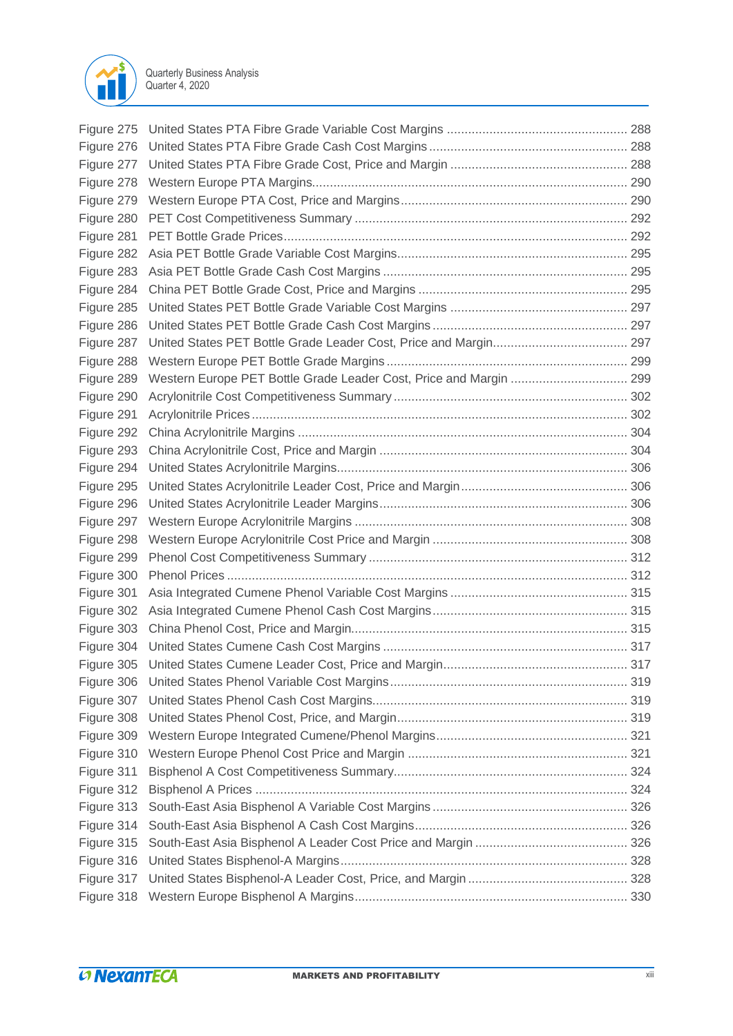

| Figure 275 |                                                                    |  |
|------------|--------------------------------------------------------------------|--|
| Figure 276 |                                                                    |  |
| Figure 277 |                                                                    |  |
| Figure 278 |                                                                    |  |
| Figure 279 |                                                                    |  |
| Figure 280 |                                                                    |  |
| Figure 281 |                                                                    |  |
| Figure 282 |                                                                    |  |
| Figure 283 |                                                                    |  |
| Figure 284 |                                                                    |  |
| Figure 285 |                                                                    |  |
| Figure 286 |                                                                    |  |
| Figure 287 |                                                                    |  |
| Figure 288 |                                                                    |  |
| Figure 289 | Western Europe PET Bottle Grade Leader Cost, Price and Margin  299 |  |
| Figure 290 |                                                                    |  |
| Figure 291 |                                                                    |  |
| Figure 292 |                                                                    |  |
| Figure 293 |                                                                    |  |
| Figure 294 |                                                                    |  |
| Figure 295 |                                                                    |  |
| Figure 296 |                                                                    |  |
| Figure 297 |                                                                    |  |
| Figure 298 |                                                                    |  |
| Figure 299 |                                                                    |  |
| Figure 300 |                                                                    |  |
| Figure 301 |                                                                    |  |
| Figure 302 |                                                                    |  |
| Figure 303 |                                                                    |  |
| Figure 304 |                                                                    |  |
| Figure 305 |                                                                    |  |
| Figure 306 |                                                                    |  |
| Figure 307 |                                                                    |  |
| Figure 308 |                                                                    |  |
| Figure 309 |                                                                    |  |
| Figure 310 |                                                                    |  |
| Figure 311 |                                                                    |  |
| Figure 312 |                                                                    |  |
| Figure 313 |                                                                    |  |
| Figure 314 |                                                                    |  |
| Figure 315 |                                                                    |  |
| Figure 316 |                                                                    |  |
| Figure 317 |                                                                    |  |
| Figure 318 |                                                                    |  |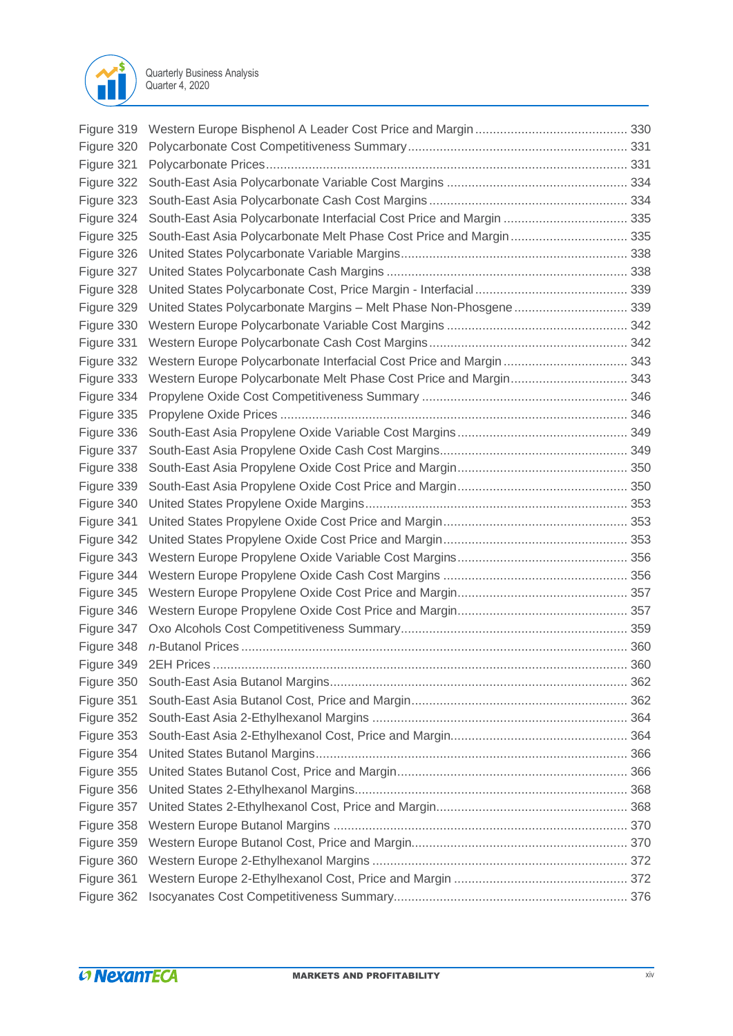

| Figure 319 |                                                                      |  |
|------------|----------------------------------------------------------------------|--|
| Figure 320 |                                                                      |  |
| Figure 321 |                                                                      |  |
| Figure 322 |                                                                      |  |
| Figure 323 |                                                                      |  |
| Figure 324 | South-East Asia Polycarbonate Interfacial Cost Price and Margin  335 |  |
| Figure 325 | South-East Asia Polycarbonate Melt Phase Cost Price and Margin 335   |  |
| Figure 326 |                                                                      |  |
| Figure 327 |                                                                      |  |
| Figure 328 |                                                                      |  |
| Figure 329 | United States Polycarbonate Margins - Melt Phase Non-Phosgene 339    |  |
| Figure 330 |                                                                      |  |
| Figure 331 |                                                                      |  |
| Figure 332 | Western Europe Polycarbonate Interfacial Cost Price and Margin  343  |  |
| Figure 333 | Western Europe Polycarbonate Melt Phase Cost Price and Margin 343    |  |
| Figure 334 |                                                                      |  |
| Figure 335 |                                                                      |  |
| Figure 336 |                                                                      |  |
| Figure 337 |                                                                      |  |
| Figure 338 |                                                                      |  |
| Figure 339 |                                                                      |  |
| Figure 340 |                                                                      |  |
| Figure 341 |                                                                      |  |
| Figure 342 |                                                                      |  |
| Figure 343 |                                                                      |  |
| Figure 344 |                                                                      |  |
| Figure 345 |                                                                      |  |
| Figure 346 |                                                                      |  |
| Figure 347 |                                                                      |  |
|            |                                                                      |  |
| Figure 349 |                                                                      |  |
| Figure 350 |                                                                      |  |
| Figure 351 |                                                                      |  |
| Figure 352 |                                                                      |  |
| Figure 353 |                                                                      |  |
| Figure 354 |                                                                      |  |
| Figure 355 |                                                                      |  |
| Figure 356 |                                                                      |  |
| Figure 357 |                                                                      |  |
| Figure 358 |                                                                      |  |
| Figure 359 |                                                                      |  |
| Figure 360 |                                                                      |  |
| Figure 361 |                                                                      |  |
| Figure 362 |                                                                      |  |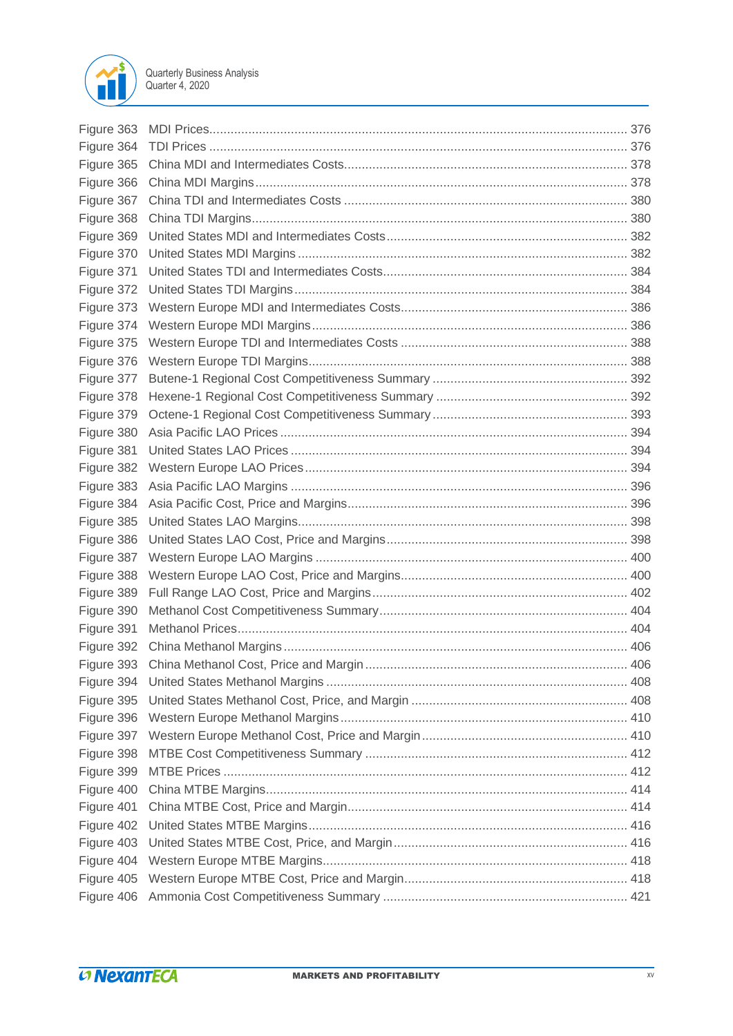

| Figure 363 |  |
|------------|--|
| Figure 364 |  |
| Figure 365 |  |
| Figure 366 |  |
| Figure 367 |  |
| Figure 368 |  |
| Figure 369 |  |
| Figure 370 |  |
| Figure 371 |  |
| Figure 372 |  |
| Figure 373 |  |
| Figure 374 |  |
| Figure 375 |  |
| Figure 376 |  |
| Figure 377 |  |
| Figure 378 |  |
| Figure 379 |  |
| Figure 380 |  |
| Figure 381 |  |
| Figure 382 |  |
| Figure 383 |  |
| Figure 384 |  |
| Figure 385 |  |
| Figure 386 |  |
| Figure 387 |  |
| Figure 388 |  |
| Figure 389 |  |
| Figure 390 |  |
| Figure 391 |  |
| Figure 392 |  |
|            |  |
| Figure 394 |  |
| Figure 395 |  |
| Figure 396 |  |
| Figure 397 |  |
| Figure 398 |  |
| Figure 399 |  |
| Figure 400 |  |
| Figure 401 |  |
| Figure 402 |  |
| Figure 403 |  |
| Figure 404 |  |
| Figure 405 |  |
| Figure 406 |  |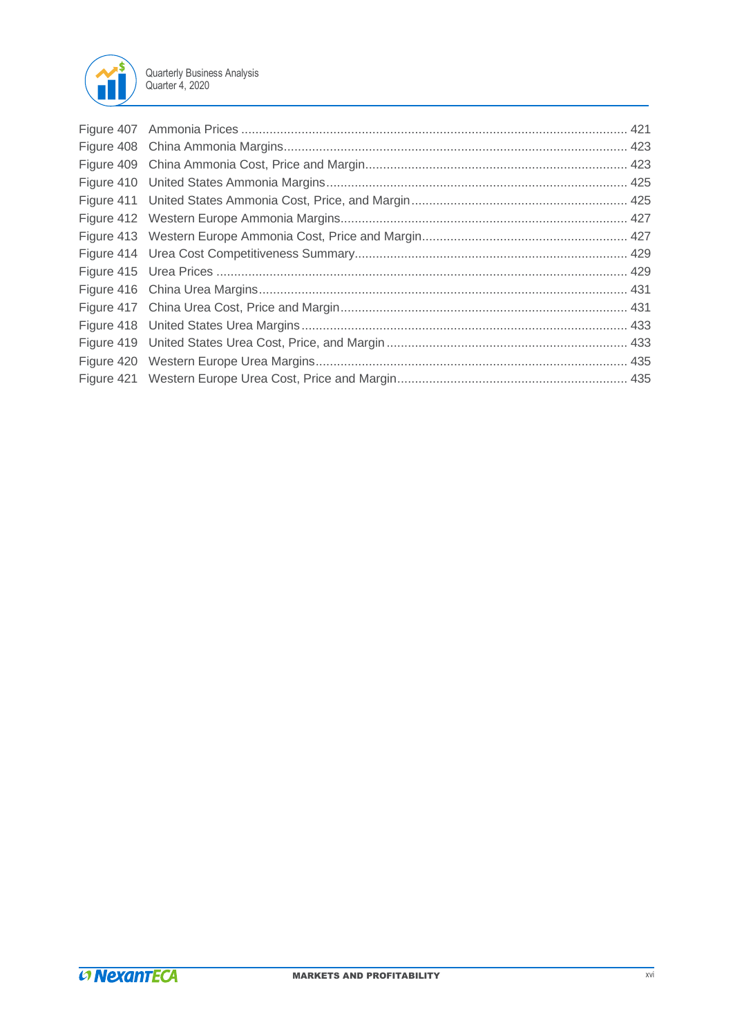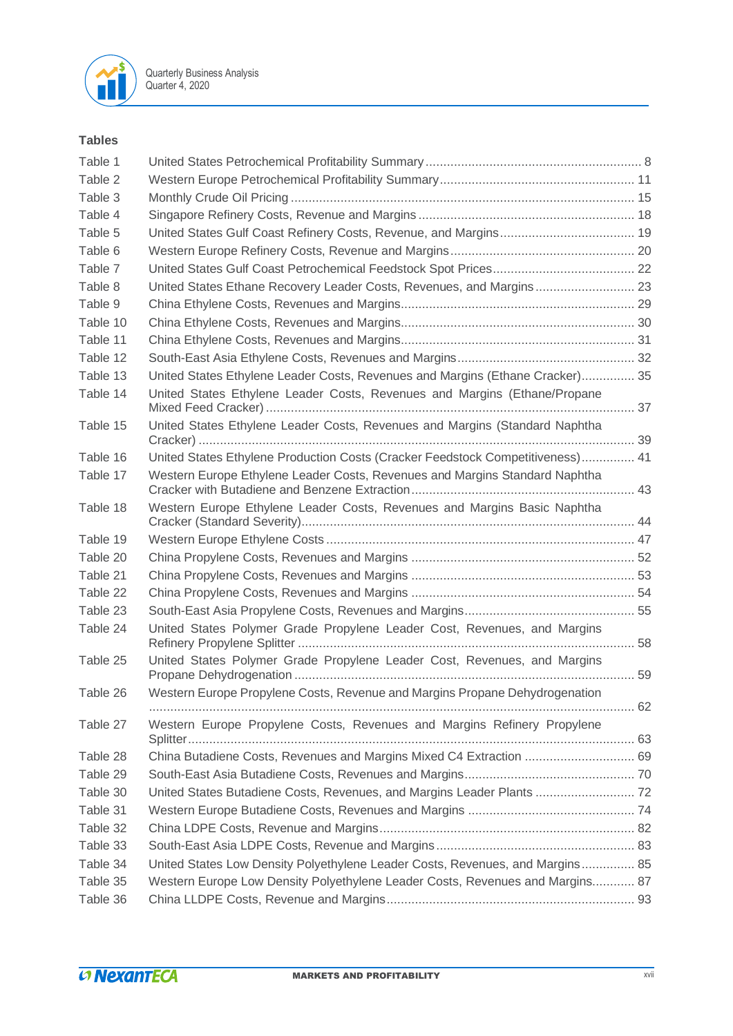

## **Tables**

| Table 1  |                                                                                |    |
|----------|--------------------------------------------------------------------------------|----|
| Table 2  |                                                                                |    |
| Table 3  |                                                                                |    |
| Table 4  |                                                                                |    |
| Table 5  |                                                                                |    |
| Table 6  |                                                                                |    |
| Table 7  |                                                                                |    |
| Table 8  | United States Ethane Recovery Leader Costs, Revenues, and Margins 23           |    |
| Table 9  |                                                                                |    |
| Table 10 |                                                                                |    |
| Table 11 |                                                                                |    |
| Table 12 |                                                                                |    |
| Table 13 | United States Ethylene Leader Costs, Revenues and Margins (Ethane Cracker) 35  |    |
| Table 14 | United States Ethylene Leader Costs, Revenues and Margins (Ethane/Propane      |    |
| Table 15 | United States Ethylene Leader Costs, Revenues and Margins (Standard Naphtha    |    |
| Table 16 | United States Ethylene Production Costs (Cracker Feedstock Competitiveness) 41 |    |
| Table 17 | Western Europe Ethylene Leader Costs, Revenues and Margins Standard Naphtha    |    |
| Table 18 | Western Europe Ethylene Leader Costs, Revenues and Margins Basic Naphtha       |    |
| Table 19 |                                                                                |    |
| Table 20 |                                                                                |    |
| Table 21 |                                                                                |    |
| Table 22 |                                                                                |    |
| Table 23 |                                                                                |    |
| Table 24 | United States Polymer Grade Propylene Leader Cost, Revenues, and Margins       |    |
| Table 25 | United States Polymer Grade Propylene Leader Cost, Revenues, and Margins       |    |
| Table 26 | Western Europe Propylene Costs, Revenue and Margins Propane Dehydrogenation    | 62 |
| Table 27 | Western Europe Propylene Costs, Revenues and Margins Refinery Propylene        |    |
| Table 28 | China Butadiene Costs, Revenues and Margins Mixed C4 Extraction  69            |    |
| Table 29 |                                                                                |    |
| Table 30 | United States Butadiene Costs, Revenues, and Margins Leader Plants  72         |    |
| Table 31 |                                                                                |    |
| Table 32 |                                                                                |    |
| Table 33 |                                                                                |    |
| Table 34 | United States Low Density Polyethylene Leader Costs, Revenues, and Margins 85  |    |
| Table 35 | Western Europe Low Density Polyethylene Leader Costs, Revenues and Margins 87  |    |
| Table 36 |                                                                                |    |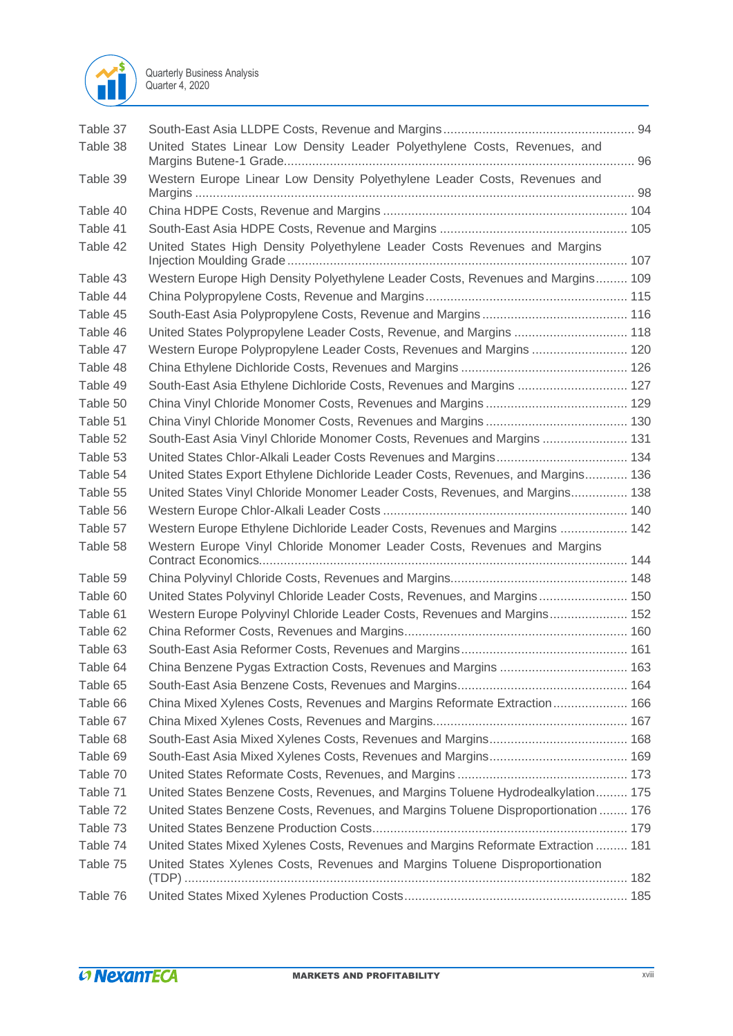

| Table 37 |                                                                                    |  |
|----------|------------------------------------------------------------------------------------|--|
| Table 38 | United States Linear Low Density Leader Polyethylene Costs, Revenues, and          |  |
| Table 39 | Western Europe Linear Low Density Polyethylene Leader Costs, Revenues and          |  |
| Table 40 |                                                                                    |  |
| Table 41 |                                                                                    |  |
| Table 42 | United States High Density Polyethylene Leader Costs Revenues and Margins          |  |
| Table 43 | Western Europe High Density Polyethylene Leader Costs, Revenues and Margins 109    |  |
| Table 44 |                                                                                    |  |
| Table 45 |                                                                                    |  |
| Table 46 | United States Polypropylene Leader Costs, Revenue, and Margins  118                |  |
| Table 47 | Western Europe Polypropylene Leader Costs, Revenues and Margins  120               |  |
| Table 48 |                                                                                    |  |
| Table 49 | South-East Asia Ethylene Dichloride Costs, Revenues and Margins  127               |  |
| Table 50 |                                                                                    |  |
| Table 51 |                                                                                    |  |
| Table 52 | South-East Asia Vinyl Chloride Monomer Costs, Revenues and Margins  131            |  |
| Table 53 |                                                                                    |  |
| Table 54 | United States Export Ethylene Dichloride Leader Costs, Revenues, and Margins 136   |  |
| Table 55 | United States Vinyl Chloride Monomer Leader Costs, Revenues, and Margins 138       |  |
| Table 56 |                                                                                    |  |
| Table 57 | Western Europe Ethylene Dichloride Leader Costs, Revenues and Margins  142         |  |
| Table 58 | Western Europe Vinyl Chloride Monomer Leader Costs, Revenues and Margins           |  |
| Table 59 |                                                                                    |  |
| Table 60 | United States Polyvinyl Chloride Leader Costs, Revenues, and Margins 150           |  |
| Table 61 | Western Europe Polyvinyl Chloride Leader Costs, Revenues and Margins 152           |  |
| Table 62 |                                                                                    |  |
| Table 63 |                                                                                    |  |
| Table 64 | China Benzene Pygas Extraction Costs, Revenues and Margins  163                    |  |
| Table 65 |                                                                                    |  |
| Table 66 | China Mixed Xylenes Costs, Revenues and Margins Reformate Extraction 166           |  |
| Table 67 |                                                                                    |  |
| Table 68 |                                                                                    |  |
| Table 69 |                                                                                    |  |
| Table 70 |                                                                                    |  |
| Table 71 | United States Benzene Costs, Revenues, and Margins Toluene Hydrodealkylation 175   |  |
| Table 72 | United States Benzene Costs, Revenues, and Margins Toluene Disproportionation  176 |  |
| Table 73 |                                                                                    |  |
| Table 74 | United States Mixed Xylenes Costs, Revenues and Margins Reformate Extraction  181  |  |
| Table 75 | United States Xylenes Costs, Revenues and Margins Toluene Disproportionation       |  |
| Table 76 |                                                                                    |  |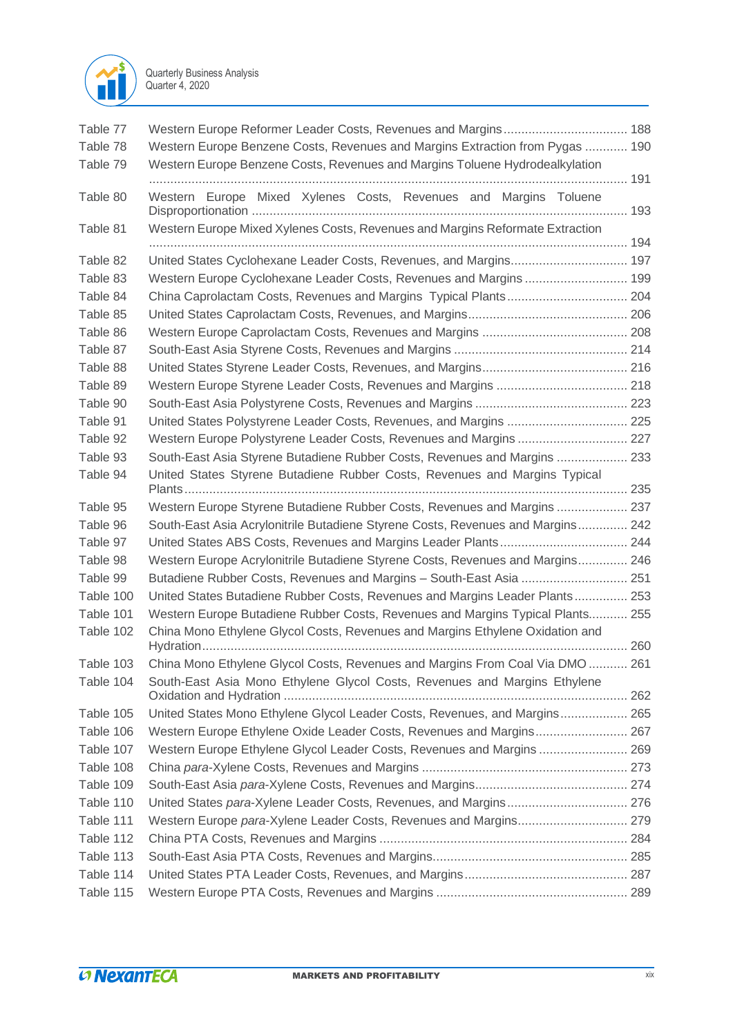

| Table 77  |                                                                                 |     |
|-----------|---------------------------------------------------------------------------------|-----|
| Table 78  | Western Europe Benzene Costs, Revenues and Margins Extraction from Pygas  190   |     |
| Table 79  | Western Europe Benzene Costs, Revenues and Margins Toluene Hydrodealkylation    |     |
|           |                                                                                 |     |
| Table 80  | Western Europe Mixed Xylenes Costs, Revenues and Margins Toluene                |     |
| Table 81  | Western Europe Mixed Xylenes Costs, Revenues and Margins Reformate Extraction   |     |
| Table 82  |                                                                                 |     |
| Table 83  | Western Europe Cyclohexane Leader Costs, Revenues and Margins 199               |     |
| Table 84  |                                                                                 |     |
| Table 85  |                                                                                 |     |
| Table 86  |                                                                                 |     |
| Table 87  |                                                                                 |     |
| Table 88  |                                                                                 |     |
| Table 89  |                                                                                 |     |
| Table 90  |                                                                                 |     |
| Table 91  | United States Polystyrene Leader Costs, Revenues, and Margins  225              |     |
| Table 92  | Western Europe Polystyrene Leader Costs, Revenues and Margins  227              |     |
| Table 93  | South-East Asia Styrene Butadiene Rubber Costs, Revenues and Margins  233       |     |
| Table 94  | United States Styrene Butadiene Rubber Costs, Revenues and Margins Typical      |     |
| Table 95  | Western Europe Styrene Butadiene Rubber Costs, Revenues and Margins  237        |     |
| Table 96  | South-East Asia Acrylonitrile Butadiene Styrene Costs, Revenues and Margins 242 |     |
| Table 97  |                                                                                 |     |
| Table 98  | Western Europe Acrylonitrile Butadiene Styrene Costs, Revenues and Margins 246  |     |
| Table 99  | Butadiene Rubber Costs, Revenues and Margins - South-East Asia  251             |     |
| Table 100 | United States Butadiene Rubber Costs, Revenues and Margins Leader Plants 253    |     |
| Table 101 | Western Europe Butadiene Rubber Costs, Revenues and Margins Typical Plants 255  |     |
| Table 102 | China Mono Ethylene Glycol Costs, Revenues and Margins Ethylene Oxidation and   |     |
| Table 103 | China Mono Ethylene Glycol Costs, Revenues and Margins From Coal Via DMO        | 261 |
| Table 104 | South-East Asia Mono Ethylene Glycol Costs, Revenues and Margins Ethylene       |     |
| Table 105 | United States Mono Ethylene Glycol Leader Costs, Revenues, and Margins 265      |     |
| Table 106 | Western Europe Ethylene Oxide Leader Costs, Revenues and Margins 267            |     |
| Table 107 | Western Europe Ethylene Glycol Leader Costs, Revenues and Margins 269           |     |
| Table 108 |                                                                                 |     |
| Table 109 |                                                                                 |     |
| Table 110 |                                                                                 |     |
| Table 111 | Western Europe para-Xylene Leader Costs, Revenues and Margins 279               |     |
| Table 112 |                                                                                 |     |
| Table 113 |                                                                                 |     |
| Table 114 |                                                                                 |     |
| Table 115 |                                                                                 |     |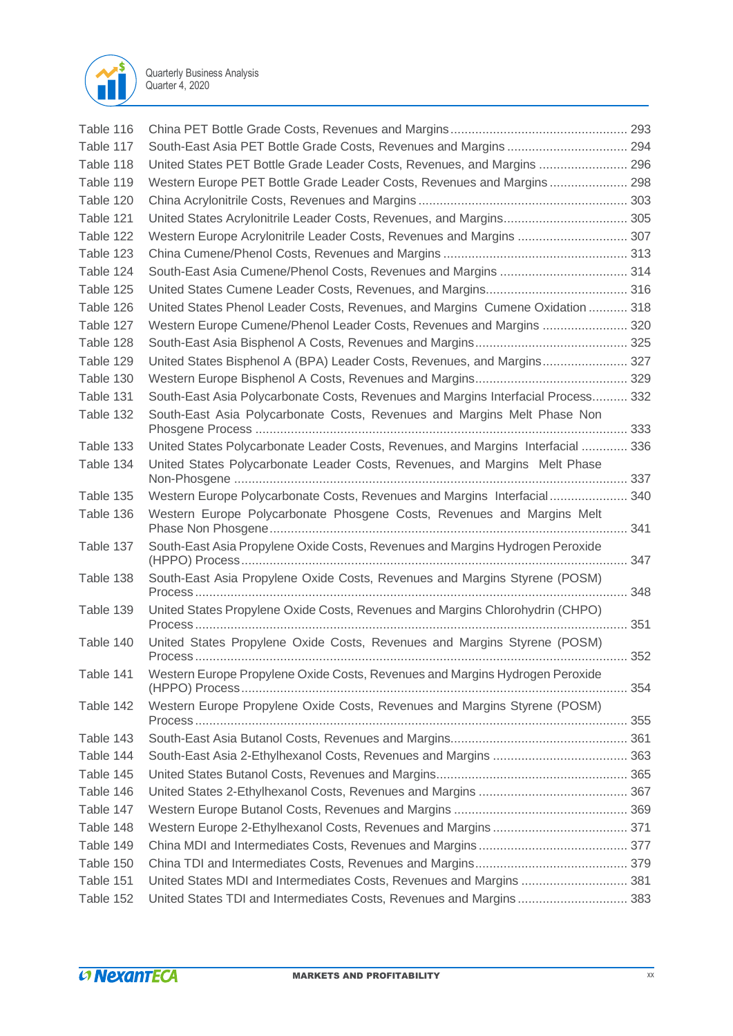

| Table 116 |                                                                                   |  |
|-----------|-----------------------------------------------------------------------------------|--|
| Table 117 | South-East Asia PET Bottle Grade Costs, Revenues and Margins  294                 |  |
| Table 118 | United States PET Bottle Grade Leader Costs, Revenues, and Margins  296           |  |
| Table 119 | Western Europe PET Bottle Grade Leader Costs, Revenues and Margins 298            |  |
| Table 120 |                                                                                   |  |
| Table 121 | United States Acrylonitrile Leader Costs, Revenues, and Margins 305               |  |
| Table 122 | Western Europe Acrylonitrile Leader Costs, Revenues and Margins  307              |  |
| Table 123 |                                                                                   |  |
| Table 124 |                                                                                   |  |
| Table 125 |                                                                                   |  |
| Table 126 | United States Phenol Leader Costs, Revenues, and Margins Cumene Oxidation  318    |  |
| Table 127 | Western Europe Cumene/Phenol Leader Costs, Revenues and Margins  320              |  |
| Table 128 |                                                                                   |  |
| Table 129 | United States Bisphenol A (BPA) Leader Costs, Revenues, and Margins 327           |  |
| Table 130 |                                                                                   |  |
| Table 131 | South-East Asia Polycarbonate Costs, Revenues and Margins Interfacial Process 332 |  |
| Table 132 | South-East Asia Polycarbonate Costs, Revenues and Margins Melt Phase Non          |  |
|           |                                                                                   |  |
| Table 133 | United States Polycarbonate Leader Costs, Revenues, and Margins Interfacial  336  |  |
| Table 134 | United States Polycarbonate Leader Costs, Revenues, and Margins Melt Phase        |  |
| Table 135 | Western Europe Polycarbonate Costs, Revenues and Margins Interfacial 340          |  |
| Table 136 | Western Europe Polycarbonate Phosgene Costs, Revenues and Margins Melt            |  |
| Table 137 | South-East Asia Propylene Oxide Costs, Revenues and Margins Hydrogen Peroxide     |  |
| Table 138 | South-East Asia Propylene Oxide Costs, Revenues and Margins Styrene (POSM)        |  |
| Table 139 | United States Propylene Oxide Costs, Revenues and Margins Chlorohydrin (CHPO)     |  |
|           |                                                                                   |  |
| Table 140 | United States Propylene Oxide Costs, Revenues and Margins Styrene (POSM)          |  |
| Table 141 | Western Europe Propylene Oxide Costs, Revenues and Margins Hydrogen Peroxide      |  |
| Table 142 | Western Europe Propylene Oxide Costs, Revenues and Margins Styrene (POSM)         |  |
| Table 143 |                                                                                   |  |
| Table 144 |                                                                                   |  |
| Table 145 |                                                                                   |  |
| Table 146 |                                                                                   |  |
| Table 147 |                                                                                   |  |
| Table 148 |                                                                                   |  |
| Table 149 |                                                                                   |  |
| Table 150 |                                                                                   |  |
| Table 151 | United States MDI and Intermediates Costs, Revenues and Margins  381              |  |
| Table 152 | United States TDI and Intermediates Costs, Revenues and Margins 383               |  |